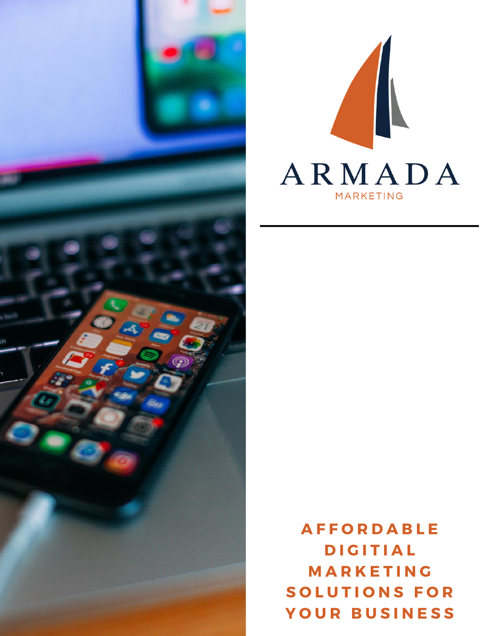



**A F F O R D A B L E D I G I T I A L M A R K E T I N G S O L U T I O N S F O R Y O U R B U S I N E S S**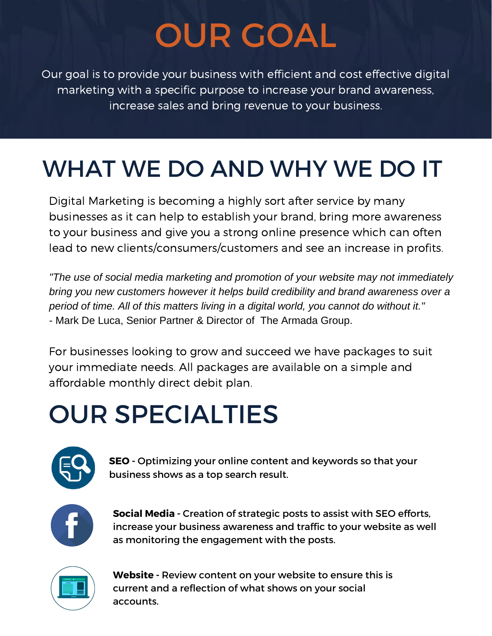# OUR GOAL

Our goal is to provide your business with efficient and cost effective digital marketing with a specific purpose to increase your brand awareness, increase sales and bring revenue to your business.

## WHAT WE DO AND WHY WE DO IT

Digital Marketing is becoming a highly sort after service by many businesses as it can help to establish your brand, bring more awareness to your business and give you a strong online presence which can often lead to new clients/consumers/customers and see an increase in profits.

*"The use of social media marketing and promotion of your website may not immediately bring you new customers however it helps build credibility and brand awareness over a period of time. All of this matters living in a digital world, you cannot do without it."* - Mark De Luca, Senior Partner & Director of The Armada Group.

For businesses looking to grow and succeed we have packages to suit your immediate needs. All packages are available on a simple and affordable monthly direct debit plan.

## OUR SPECIALTIES



**SEO -** Optimizing your online content and keywords so that your business shows as a top search result.



**Social Media -** Creation of strategic posts to assist with SEO efforts, increase your business awareness and traffic to your website as well as monitoring the engagement with the posts.



**Website -** Review content on your website to ensure this is current and a reflection of what shows on your social accounts.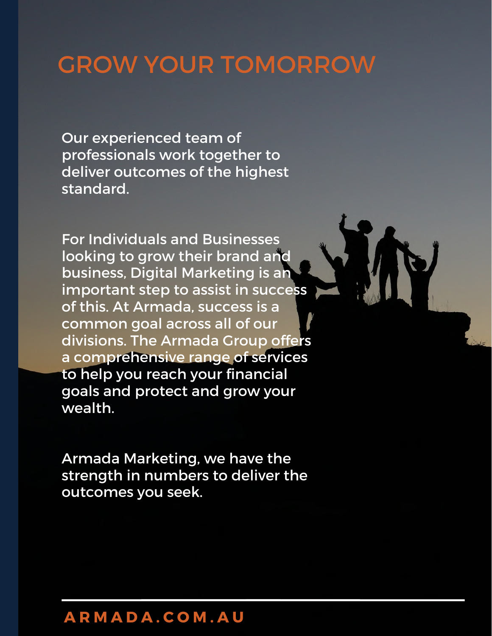### GROW YOUR TOMORROW

Our experienced team of professionals work together to deliver outcomes of the highest standard.

For Individuals and Businesses looking to grow their brand and business, Digital Marketing is an important step to assist in success of this. At Armada, success is a common goal across all of our divisions. The Armada Group offers a comprehensive range of services to help you reach your financial goals and protect and grow your wealth.

Armada Marketing, we have the strength in numbers to deliver the outcomes you seek.

#### **A R M A D A . C O M . A U**